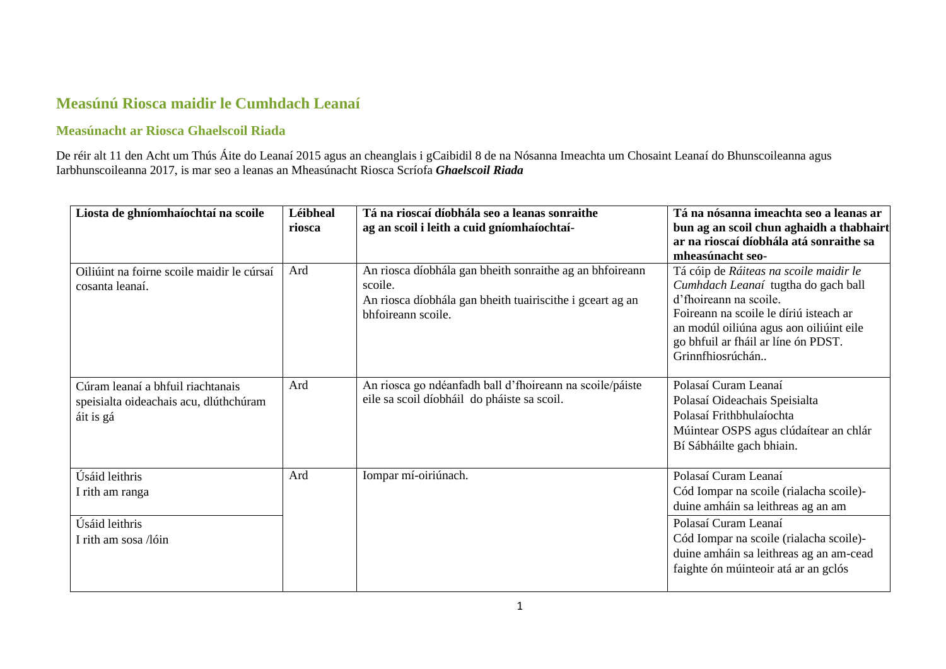## **Measúnú Riosca maidir le Cumhdach Leanaí**

## **Measúnacht ar Riosca Ghaelscoil Riada**

De réir alt 11 den Acht um Thús Áite do Leanaí 2015 agus an cheanglais i gCaibidil 8 de na Nósanna Imeachta um Chosaint Leanaí do Bhunscoileanna agus Iarbhunscoileanna 2017, is mar seo a leanas an Mheasúnacht Riosca Scríofa *Ghaelscoil Riada*

| Liosta de ghníomhaíochtaí na scoile                                                      | Léibheal<br>riosca | Tá na rioscaí díobhála seo a leanas sonraithe<br>ag an scoil i leith a cuid gníomhaíochtaí-                                                            | Tá na nósanna imeachta seo a leanas ar<br>bun ag an scoil chun aghaidh a thabhairt<br>ar na rioscaí díobhála atá sonraithe sa<br>mheasúnacht seo-                                                                                                           |
|------------------------------------------------------------------------------------------|--------------------|--------------------------------------------------------------------------------------------------------------------------------------------------------|-------------------------------------------------------------------------------------------------------------------------------------------------------------------------------------------------------------------------------------------------------------|
| Oiliúint na foirne scoile maidir le cúrsaí<br>cosanta leanaí.                            | Ard                | An riosca díobhála gan bheith sonraithe ag an bhfoireann<br>scoile.<br>An riosca díobhála gan bheith tuairiscithe i gceart ag an<br>bhfoireann scoile. | Tá cóip de Ráiteas na scoile maidir le<br>Cumhdach Leanaí tugtha do gach ball<br>d'fhoireann na scoile.<br>Foireann na scoile le díriú isteach ar<br>an modúl oiliúna agus aon oiliúint eile<br>go bhfuil ar fháil ar líne ón PDST.<br>Grinnfhiosrúchán     |
| Cúram leanaí a bhfuil riachtanais<br>speisialta oideachais acu, dlúthchúram<br>áit is gá | Ard                | An riosca go ndéanfadh ball d'fhoireann na scoile/páiste<br>eile sa scoil díobháil do pháiste sa scoil.                                                | Polasaí Curam Leanaí<br>Polasaí Oideachais Speisialta<br>Polasaí Frithbhulaíochta<br>Múintear OSPS agus clúdaítear an chlár<br>Bí Sábháilte gach bhiain.                                                                                                    |
| Úsáid leithris<br>I rith am ranga<br>Úsáid leithris<br>I rith am sosa /lóin              | Ard                | Iompar mí-oiriúnach.                                                                                                                                   | Polasaí Curam Leanaí<br>Cód Iompar na scoile (rialacha scoile)-<br>duine amháin sa leithreas ag an am<br>Polasaí Curam Leanaí<br>Cód Iompar na scoile (rialacha scoile)-<br>duine amháin sa leithreas ag an am-cead<br>faighte ón múinteoir atá ar an gclós |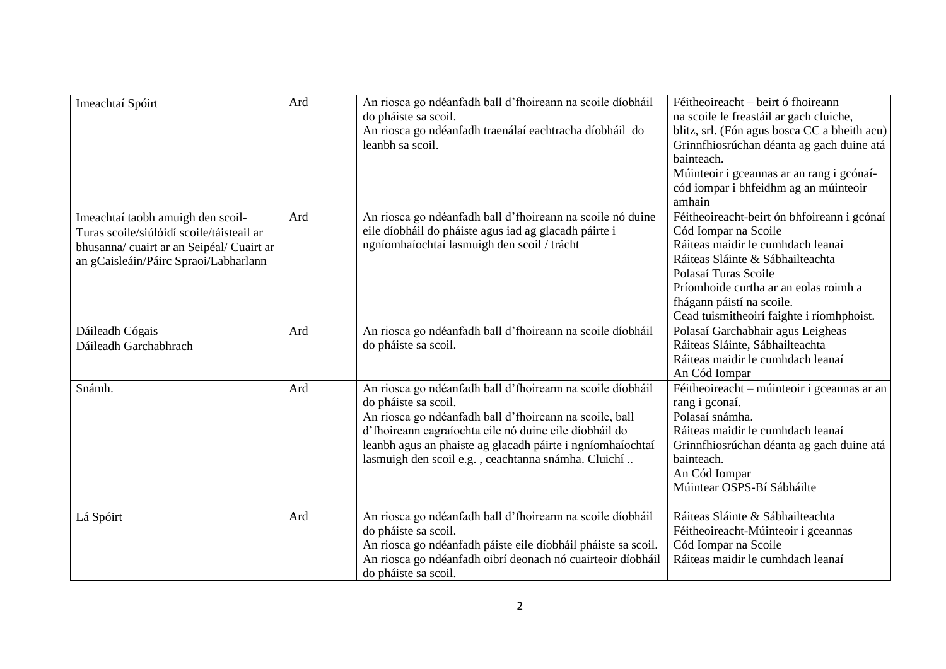| Imeachtaí Spóirt                                                                                                                                                     | Ard | An riosca go ndéanfadh ball d'fhoireann na scoile díobháil<br>do pháiste sa scoil.<br>An riosca go ndéanfadh traenálaí eachtracha díobháil do<br>leanbh sa scoil.                                                                                                                                                            | Féitheoireacht – beirt ó fhoireann<br>na scoile le freastáil ar gach cluiche,<br>blitz, srl. (Fón agus bosca CC a bheith acu)<br>Grinnfhiosrúchan déanta ag gach duine atá<br>bainteach.<br>Múinteoir i gceannas ar an rang i gcónaí-<br>cód iompar i bhfeidhm ag an múinteoir<br>amhain |
|----------------------------------------------------------------------------------------------------------------------------------------------------------------------|-----|------------------------------------------------------------------------------------------------------------------------------------------------------------------------------------------------------------------------------------------------------------------------------------------------------------------------------|------------------------------------------------------------------------------------------------------------------------------------------------------------------------------------------------------------------------------------------------------------------------------------------|
| Imeachtaí taobh amuigh den scoil-<br>Turas scoile/siúlóidí scoile/táisteail ar<br>bhusanna/ cuairt ar an Seipéal/ Cuairt ar<br>an gCaisleáin/Páirc Spraoi/Labharlann | Ard | An riosca go ndéanfadh ball d'fhoireann na scoile nó duine<br>eile díobháil do pháiste agus iad ag glacadh páirte i<br>ngníomhaíochtaí lasmuigh den scoil / trácht                                                                                                                                                           | Féitheoireacht-beirt ón bhfoireann i gcónaí<br>Cód Iompar na Scoile<br>Ráiteas maidir le cumhdach leanaí<br>Ráiteas Sláinte & Sábhailteachta<br>Polasaí Turas Scoile<br>Príomhoide curtha ar an eolas roimh a<br>fhágann páistí na scoile.<br>Cead tuismitheoirí faighte i ríomhphoist.  |
| Dáileadh Cógais<br>Dáileadh Garchabhrach                                                                                                                             | Ard | An riosca go ndéanfadh ball d'fhoireann na scoile díobháil<br>do pháiste sa scoil.                                                                                                                                                                                                                                           | Polasaí Garchabhair agus Leigheas<br>Ráiteas Sláinte, Sábhailteachta<br>Ráiteas maidir le cumhdach leanaí<br>An Cód Iompar                                                                                                                                                               |
| Snámh.                                                                                                                                                               | Ard | An riosca go ndéanfadh ball d'fhoireann na scoile díobháil<br>do pháiste sa scoil.<br>An riosca go ndéanfadh ball d'fhoireann na scoile, ball<br>d'fhoireann eagraíochta eile nó duine eile díobháil do<br>leanbh agus an phaiste ag glacadh páirte i ngníomhaíochtaí<br>lasmuigh den scoil e.g., ceachtanna snámha. Cluichí | Féitheoireacht – múinteoir i gceannas ar an<br>rang i gconaí.<br>Polasaí snámha.<br>Ráiteas maidir le cumhdach leanaí<br>Grinnfhiosrúchan déanta ag gach duine atá<br>bainteach.<br>An Cód Iompar<br>Múintear OSPS-Bí Sábháilte                                                          |
| Lá Spóirt                                                                                                                                                            | Ard | An riosca go ndéanfadh ball d'fhoireann na scoile díobháil<br>do pháiste sa scoil.<br>An riosca go ndéanfadh páiste eile díobháil pháiste sa scoil.<br>An riosca go ndéanfadh oibrí deonach nó cuairteoir díobháil<br>do pháiste sa scoil.                                                                                   | Ráiteas Sláinte & Sábhailteachta<br>Féitheoireacht-Múinteoir i gceannas<br>Cód Iompar na Scoile<br>Ráiteas maidir le cumhdach leanaí                                                                                                                                                     |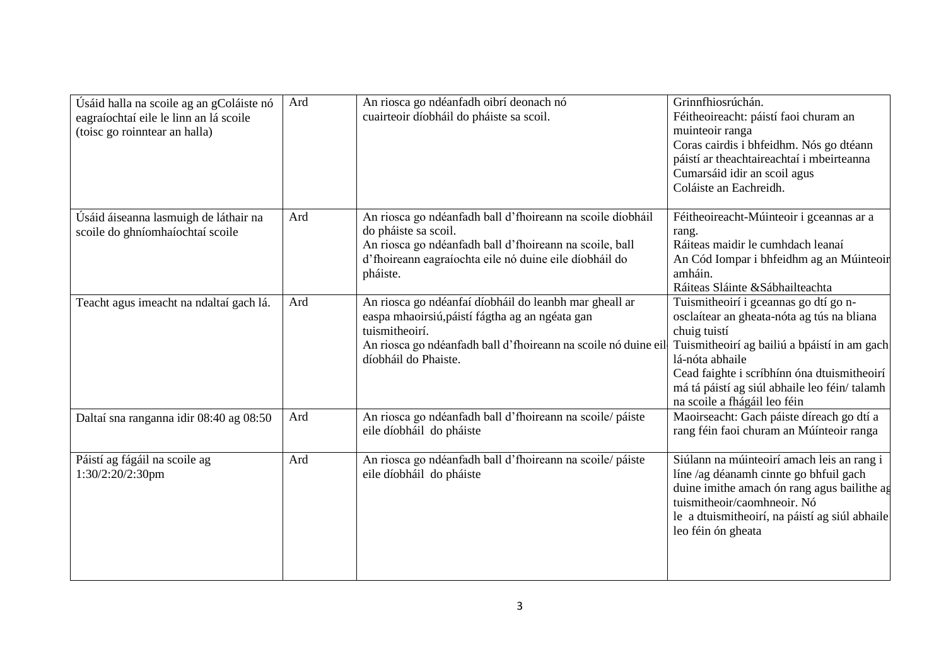| Úsáid halla na scoile ag an gColáiste nó<br>eagraíochtaí eile le linn an lá scoile<br>(toisc go roinntear an halla) | Ard | An riosca go ndéanfadh oibrí deonach nó<br>cuairteoir díobháil do pháiste sa scoil.                                                                                                                                   | Grinnfhiosrúchán.<br>Féitheoireacht: páistí faoi churam an<br>muinteoir ranga<br>Coras cairdis i bhfeidhm. Nós go dtéann<br>páistí ar theachtaireachtaí i mbeirteanna<br>Cumarsáid idir an scoil agus<br>Coláiste an Eachreidh.                                                                       |
|---------------------------------------------------------------------------------------------------------------------|-----|-----------------------------------------------------------------------------------------------------------------------------------------------------------------------------------------------------------------------|-------------------------------------------------------------------------------------------------------------------------------------------------------------------------------------------------------------------------------------------------------------------------------------------------------|
| Úsáid áiseanna lasmuigh de láthair na<br>scoile do ghníomhaíochtaí scoile                                           | Ard | An riosca go ndéanfadh ball d'fhoireann na scoile díobháil<br>do pháiste sa scoil.<br>An riosca go ndéanfadh ball d'fhoireann na scoile, ball<br>d'fhoireann eagraíochta eile nó duine eile díobháil do<br>pháiste.   | Féitheoireacht-Múinteoir i gceannas ar a<br>rang.<br>Ráiteas maidir le cumhdach leanaí<br>An Cód Iompar i bhfeidhm ag an Múinteoir<br>amháin.<br>Ráiteas Sláinte & Sábhailteachta                                                                                                                     |
| Teacht agus imeacht na ndaltaí gach lá.                                                                             | Ard | An riosca go ndéanfaí díobháil do leanbh mar gheall ar<br>easpa mhaoirsiú, páistí fágtha ag an ngéata gan<br>tuismitheoirí.<br>An riosca go ndéanfadh ball d'fhoireann na scoile nó duine eil<br>díobháil do Phaiste. | Tuismitheoirí i gceannas go dtí go n-<br>osclaítear an gheata-nóta ag tús na bliana<br>chuig tuistí<br>Tuismitheoirí ag bailiú a bpáistí in am gach<br>lá-nóta abhaile<br>Cead faighte i scríbhínn óna dtuismitheoirí<br>má tá páistí ag siúl abhaile leo féin/talamh<br>na scoile a fhágáil leo féin |
| Daltaí sna ranganna idir 08:40 ag 08:50                                                                             | Ard | An riosca go ndéanfadh ball d'fhoireann na scoile/ páiste<br>eile díobháil do pháiste                                                                                                                                 | Maoirseacht: Gach páiste díreach go dtí a<br>rang féin faoi churam an Múínteoir ranga                                                                                                                                                                                                                 |
| Páistí ag fágáil na scoile ag<br>1:30/2:20/2:30pm                                                                   | Ard | An riosca go ndéanfadh ball d'fhoireann na scoile/páiste<br>eile díobháil do pháiste                                                                                                                                  | Siúlann na múinteoirí amach leis an rang i<br>líne /ag déanamh cinnte go bhfuil gach<br>duine imithe amach ón rang agus bailithe ag<br>tuismitheoir/caomhneoir. Nó<br>le a dtuismitheoirí, na páistí ag siúl abhaile<br>leo féin ón gheata                                                            |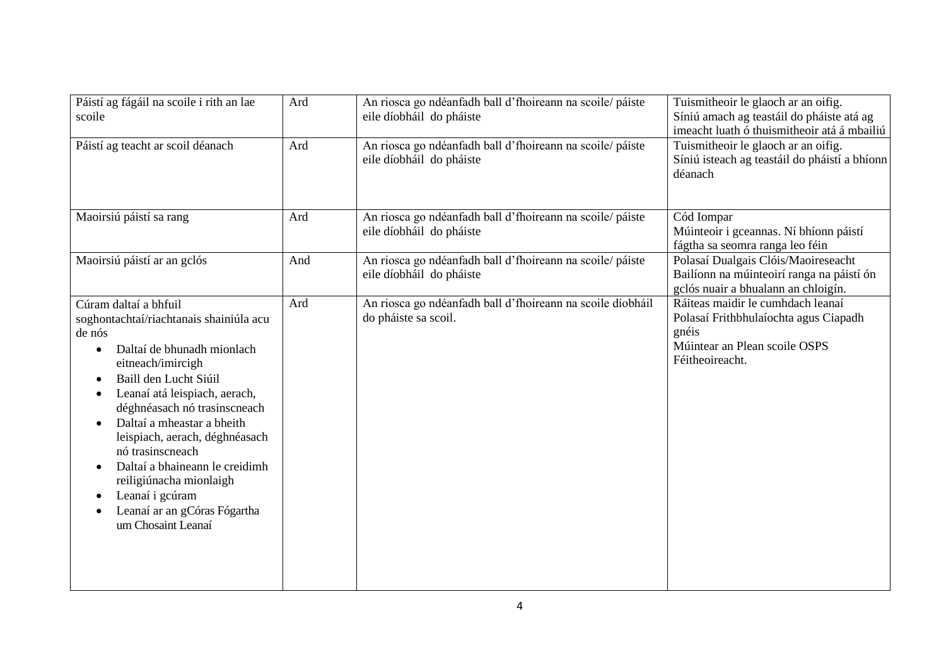| Páistí ag fágáil na scoile i rith an lae<br>scoile                                                                                                                                                                                                                                                                                                                                                                                                                                                                                   | Ard | An riosca go ndéanfadh ball d'fhoireann na scoile/ páiste<br>eile díobháil do pháiste | Tuismitheoir le glaoch ar an oifig.<br>Síniú amach ag teastáil do pháiste atá ag<br>imeacht luath ó thuismitheoir atá á mbailiú         |
|--------------------------------------------------------------------------------------------------------------------------------------------------------------------------------------------------------------------------------------------------------------------------------------------------------------------------------------------------------------------------------------------------------------------------------------------------------------------------------------------------------------------------------------|-----|---------------------------------------------------------------------------------------|-----------------------------------------------------------------------------------------------------------------------------------------|
| Páistí ag teacht ar scoil déanach                                                                                                                                                                                                                                                                                                                                                                                                                                                                                                    | Ard | An riosca go ndéanfadh ball d'fhoireann na scoile/ páiste<br>eile díobháil do pháiste | Tuismitheoir le glaoch ar an oifig.<br>Síniú isteach ag teastáil do pháistí a bhíonn<br>déanach                                         |
| Maoirsiú páistí sa rang                                                                                                                                                                                                                                                                                                                                                                                                                                                                                                              | Ard | An riosca go ndéanfadh ball d'fhoireann na scoile/páiste<br>eile díobháil do pháiste  | Cód Iompar<br>Múinteoir i gceannas. Ní bhíonn páistí<br>fágtha sa seomra ranga leo féin                                                 |
| Maoirsiú páistí ar an gclós                                                                                                                                                                                                                                                                                                                                                                                                                                                                                                          | And | An riosca go ndéanfadh ball d'fhoireann na scoile/ páiste<br>eile díobháil do pháiste | Polasaí Dualgais Clóis/Maoireseacht<br>Bailíonn na múinteoirí ranga na páistí ón<br>gclós nuair a bhualann an chloigín.                 |
| Cúram daltaí a bhfuil<br>soghontachtaí/riachtanais shainiúla acu<br>de nós<br>Daltaí de bhunadh mionlach<br>$\bullet$<br>eitneach/imircigh<br>Baill den Lucht Siúil<br>$\bullet$<br>Leanaí atá leispiach, aerach,<br>$\bullet$<br>déghnéasach nó trasinscneach<br>Daltaí a mheastar a bheith<br>$\bullet$<br>leispiach, aerach, déghnéasach<br>nó trasinscneach<br>Daltaí a bhaineann le creidimh<br>$\bullet$<br>reiligiúnacha mionlaigh<br>Leanaí i gcúram<br>$\bullet$<br>Leanaí ar an gCóras Fógartha<br>٠<br>um Chosaint Leanaí | Ard | An riosca go ndéanfadh ball d'fhoireann na scoile díobháil<br>do pháiste sa scoil.    | Ráiteas maidir le cumhdach leanaí<br>Polasaí Frithbhulaíochta agus Ciapadh<br>gnéis<br>Múintear an Plean scoile OSPS<br>Féitheoireacht. |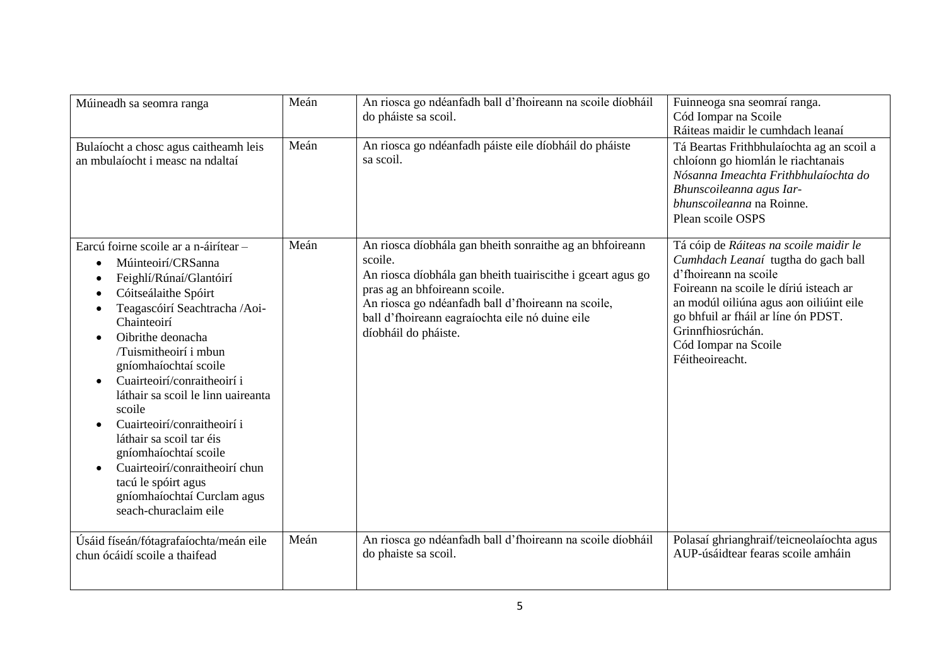| Múineadh sa seomra ranga                                                                                                                                                                                                                                                                                                                                                                                                                                                                                                                                                                        | Meán | An riosca go ndéanfadh ball d'fhoireann na scoile díobháil<br>do pháiste sa scoil.                                                                                                                                                                                                                   | Fuinneoga sna seomraí ranga.<br>Cód Iompar na Scoile<br>Ráiteas maidir le cumhdach leanaí                                                                                                                                                                                                          |
|-------------------------------------------------------------------------------------------------------------------------------------------------------------------------------------------------------------------------------------------------------------------------------------------------------------------------------------------------------------------------------------------------------------------------------------------------------------------------------------------------------------------------------------------------------------------------------------------------|------|------------------------------------------------------------------------------------------------------------------------------------------------------------------------------------------------------------------------------------------------------------------------------------------------------|----------------------------------------------------------------------------------------------------------------------------------------------------------------------------------------------------------------------------------------------------------------------------------------------------|
| Bulaíocht a chosc agus caitheamh leis<br>an mbulaíocht i measc na ndaltaí                                                                                                                                                                                                                                                                                                                                                                                                                                                                                                                       | Meán | An riosca go ndéanfadh páiste eile díobháil do pháiste<br>sa scoil.                                                                                                                                                                                                                                  | Tá Beartas Frithbhulaíochta ag an scoil a<br>chloíonn go hiomlán le riachtanais<br>Nósanna Imeachta Frithbhulaíochta do<br>Bhunscoileanna agus Iar-<br>bhunscoileanna na Roinne.<br>Plean scoile OSPS                                                                                              |
| Earcú foirne scoile ar a n-áirítear -<br>Múinteoirí/CRSanna<br>$\bullet$<br>Feighlí/Rúnaí/Glantóirí<br>٠<br>Cóitseálaithe Spóirt<br>$\bullet$<br>Teagascóirí Seachtracha /Aoi-<br>$\bullet$<br>Chainteoirí<br>Oibrithe deonacha<br>/Tuismitheoirí i mbun<br>gníomhaíochtaí scoile<br>Cuairteoirí/conraitheoirí i<br>$\bullet$<br>láthair sa scoil le linn uaireanta<br>scoile<br>Cuairteoirí/conraitheoirí i<br>láthair sa scoil tar éis<br>gníomhaíochtaí scoile<br>Cuairteoirí/conraitheoirí chun<br>$\bullet$<br>tacú le spóirt agus<br>gníomhaíochtaí Curclam agus<br>seach-churaclaim eile | Meán | An riosca díobhála gan bheith sonraithe ag an bhfoireann<br>scoile.<br>An riosca díobhála gan bheith tuairiscithe i gceart agus go<br>pras ag an bhfoireann scoile.<br>An riosca go ndéanfadh ball d'fhoireann na scoile,<br>ball d'fhoireann eagraíochta eile nó duine eile<br>díobháil do pháiste. | Tá cóip de Ráiteas na scoile maidir le<br>Cumhdach Leanaí tugtha do gach ball<br>d'fhoireann na scoile<br>Foireann na scoile le díriú isteach ar<br>an modúl oiliúna agus aon oiliúint eile<br>go bhfuil ar fháil ar líne ón PDST.<br>Grinnfhiosrúchán.<br>Cód Iompar na Scoile<br>Féitheoireacht. |
| Úsáid físeán/fótagrafaíochta/meán eile<br>chun ócáidí scoile a thaifead                                                                                                                                                                                                                                                                                                                                                                                                                                                                                                                         | Meán | An riosca go ndéanfadh ball d'fhoireann na scoile díobháil<br>do phaiste sa scoil.                                                                                                                                                                                                                   | Polasaí ghrianghraif/teicneolaíochta agus<br>AUP-úsáidtear fearas scoile amháin                                                                                                                                                                                                                    |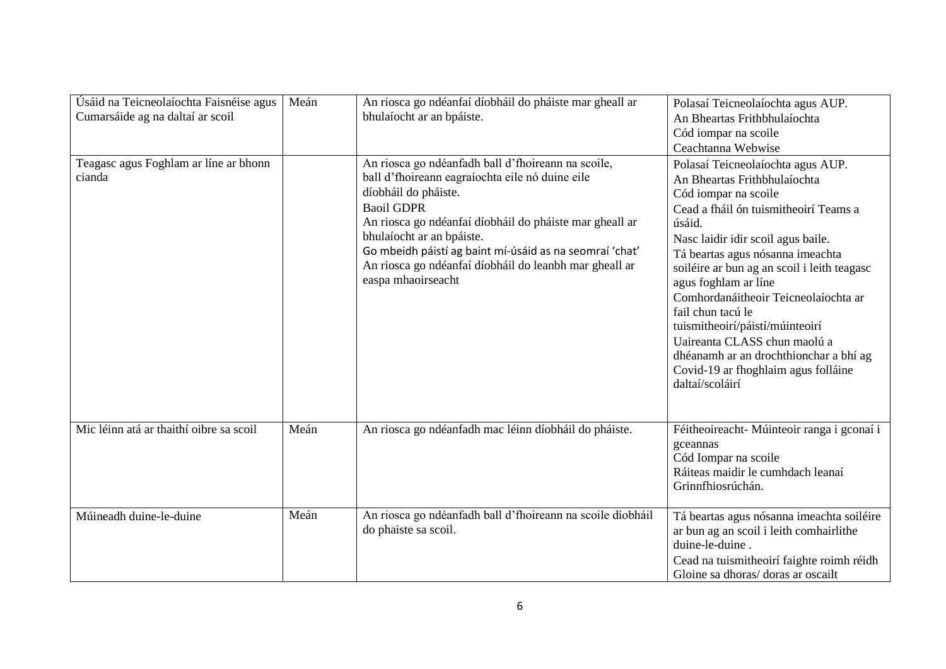| Úsáid na Teicneolaíochta Faisnéise agus<br>Cumarsáide ag na daltaí ar scoil | Meán | An riosca go ndéanfaí díobháil do pháiste mar gheall ar<br>bhulaíocht ar an bpáiste.                                                                                                                                                                                                                                                                                                  | Polasaí Teicneolaíochta agus AUP.<br>An Bheartas Frithbhulaíochta<br>Cód iompar na scoile<br>Ceachtanna Webwise                                                                                                                                                                                                                                                                                                                                                                                                                   |
|-----------------------------------------------------------------------------|------|---------------------------------------------------------------------------------------------------------------------------------------------------------------------------------------------------------------------------------------------------------------------------------------------------------------------------------------------------------------------------------------|-----------------------------------------------------------------------------------------------------------------------------------------------------------------------------------------------------------------------------------------------------------------------------------------------------------------------------------------------------------------------------------------------------------------------------------------------------------------------------------------------------------------------------------|
| Teagasc agus Foghlam ar líne ar bhonn<br>cianda                             |      | An riosca go ndéanfadh ball d'fhoireann na scoile,<br>ball d'fhoireann eagraíochta eile nó duine eile<br>díobháil do pháiste.<br><b>Baoil GDPR</b><br>An riosca go ndéanfaí díobháil do pháiste mar gheall ar<br>bhulaíocht ar an bpáiste.<br>Go mbeidh páistí ag baint mí-úsáid as na seomraí 'chat'<br>An riosca go ndéanfaí díobháil do leanbh mar gheall ar<br>easpa mhaoirseacht | Polasaí Teicneolaíochta agus AUP.<br>An Bheartas Frithbhulaíochta<br>Cód iompar na scoile<br>Cead a fháil ón tuismitheoirí Teams a<br>úsáid.<br>Nasc laidir idir scoil agus baile.<br>Tá beartas agus nósanna imeachta<br>soiléire ar bun ag an scoil i leith teagasc<br>agus foghlam ar líne<br>Comhordanáitheoir Teicneolaíochta ar<br>fail chun tacú le<br>tuismitheoirí/páistí/múinteoirí<br>Uaireanta CLASS chun maolú a<br>dhéanamh ar an drochthionchar a bhí ag<br>Covid-19 ar fhoghlaim agus folláine<br>daltaí/scoláirí |
| Mic léinn atá ar thaithí oibre sa scoil                                     | Meán | An riosca go ndéanfadh mac léinn díobháil do pháiste.                                                                                                                                                                                                                                                                                                                                 | Féitheoireacht- Múinteoir ranga i gconaí i<br>gceannas<br>Cód Iompar na scoile<br>Ráiteas maidir le cumhdach leanaí<br>Grinnfhiosrúchán.                                                                                                                                                                                                                                                                                                                                                                                          |
| Múineadh duine-le-duine                                                     | Meán | An riosca go ndéanfadh ball d'fhoireann na scoile díobháil<br>do phaiste sa scoil.                                                                                                                                                                                                                                                                                                    | Tá beartas agus nósanna imeachta soiléire<br>ar bun ag an scoil i leith comhairlithe<br>duine-le-duine.<br>Cead na tuismitheoirí faighte roimh réidh<br>Gloine sa dhoras/ doras ar oscailt                                                                                                                                                                                                                                                                                                                                        |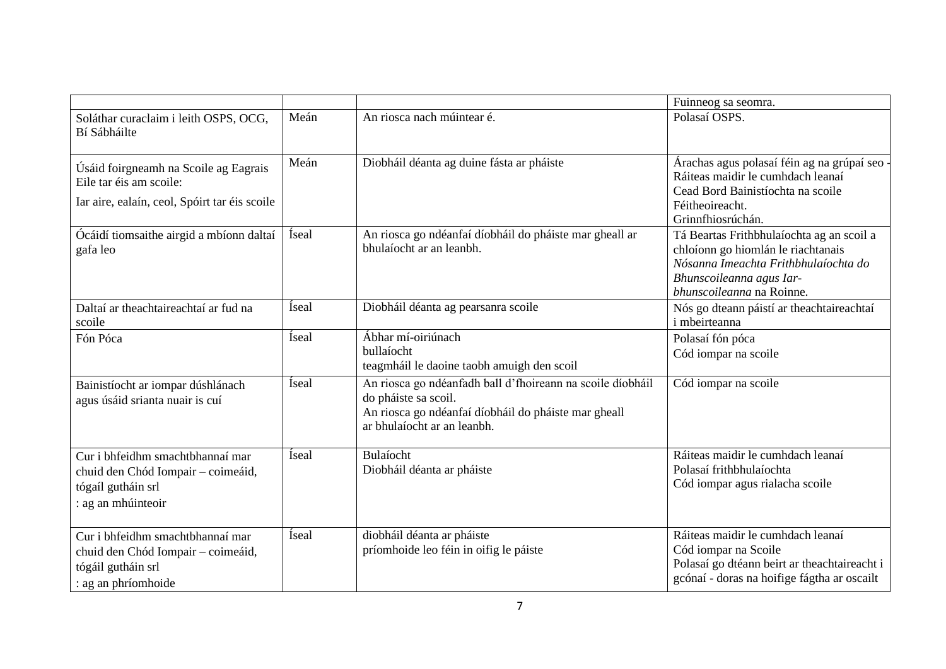|                                                                                                                     |               |                                                                                                                                                                           | Fuinneog sa seomra.                                                                                                                                                              |
|---------------------------------------------------------------------------------------------------------------------|---------------|---------------------------------------------------------------------------------------------------------------------------------------------------------------------------|----------------------------------------------------------------------------------------------------------------------------------------------------------------------------------|
| Soláthar curaclaim i leith OSPS, OCG,<br>Bí Sábháilte                                                               | Meán          | An riosca nach múintear é.                                                                                                                                                | Polasaí OSPS.                                                                                                                                                                    |
| Úsáid foirgneamh na Scoile ag Eagrais<br>Eile tar éis am scoile:<br>Iar aire, ealaín, ceol, Spóirt tar éis scoile   | Meán          | Diobháil déanta ag duine fásta ar pháiste                                                                                                                                 | Árachas agus polasaí féin ag na grúpaí seo<br>Ráiteas maidir le cumhdach leanaí<br>Cead Bord Bainistíochta na scoile<br>Féitheoireacht.<br>Grinnfhiosrúchán.                     |
| Ócáidí tiomsaithe airgid a mbíonn daltaí<br>gafa leo                                                                | Íseal         | An riosca go ndéanfaí díobháil do pháiste mar gheall ar<br>bhulaíocht ar an leanbh.                                                                                       | Tá Beartas Frithbhulaíochta ag an scoil a<br>chloíonn go hiomlán le riachtanais<br>Nósanna Imeachta Frithbhulaíochta do<br>Bhunscoileanna agus Iar-<br>bhunscoileanna na Roinne. |
| Daltaí ar theachtaireachtaí ar fud na<br>scoile                                                                     | Íseal         | Diobháil déanta ag pearsanra scoile                                                                                                                                       | Nós go dteann páistí ar theachtaireachtaí<br><i>i</i> mbeirteanna                                                                                                                |
| Fón Póca                                                                                                            | <i>fseal</i>  | Ábhar mí-oiriúnach<br>bullaíocht<br>teagmháil le daoine taobh amuigh den scoil                                                                                            | Polasaí fón póca<br>Cód iompar na scoile                                                                                                                                         |
| Bainistíocht ar iompar dúshlánach<br>agus úsáid srianta nuair is cuí                                                | Íseal         | An riosca go ndéanfadh ball d'fhoireann na scoile díobháil<br>do pháiste sa scoil.<br>An riosca go ndéanfaí díobháil do pháiste mar gheall<br>ar bhulaíocht ar an leanbh. | Cód iompar na scoile                                                                                                                                                             |
| Cur i bhfeidhm smachtbhannaí mar<br>chuid den Chód Iompair - coimeáid,<br>tógaíl gutháin srl<br>: ag an mhúinteoir  | <i>f</i> seal | Bulaíocht<br>Diobháil déanta ar pháiste                                                                                                                                   | Ráiteas maidir le cumhdach leanaí<br>Polasaí frithbhulaíochta<br>Cód iompar agus rialacha scoile                                                                                 |
| Cur i bhfeidhm smachtbhannaí mar<br>chuid den Chód Iompair - coimeáid,<br>tógáil gutháin srl<br>: ag an phríomhoide | <i>fseal</i>  | diobháil déanta ar pháiste<br>príomhoide leo féin in oifig le páiste                                                                                                      | Ráiteas maidir le cumhdach leanaí<br>Cód iompar na Scoile<br>Polasaí go dtéann beirt ar theachtaireacht i<br>gcónaí - doras na hoifige fágtha ar oscailt                         |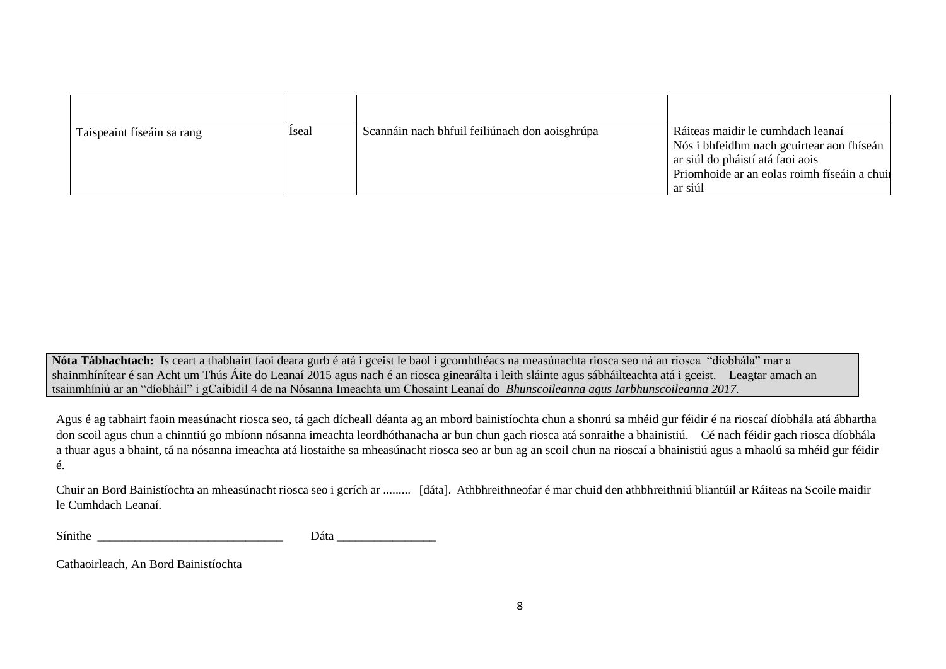| Taispeaint físeáin sa rang | <b>Iseal</b> | Scannáin nach bhfuil feiliúnach don aoisghrúpa | Ráiteas maidir le cumhdach leanaí<br>Nós i bhfeidhm nach gcuirtear aon fhíseán<br>ar siúl do pháistí atá faoi aois<br>Priomhoide ar an eolas roimh físeáin a chuil<br>ar siúl |
|----------------------------|--------------|------------------------------------------------|-------------------------------------------------------------------------------------------------------------------------------------------------------------------------------|

**Nóta Tábhachtach:** Is ceart a thabhairt faoi deara gurb é atá i gceist le baol i gcomhthéacs na measúnachta riosca seo ná an riosca "díobhála" mar a shainmhínítear é san Acht um Thús Áite do Leanaí 2015 agus nach é an riosca ginearálta i leith sláinte agus sábháilteachta atá i gceist. Leagtar amach an tsainmhíniú ar an "díobháil" i gCaibidil 4 de na Nósanna Imeachta um Chosaint Leanaí do *Bhunscoileanna agus Iarbhunscoileanna 2017.*

Agus é ag tabhairt faoin measúnacht riosca seo, tá gach dícheall déanta ag an mbord bainistíochta chun a shonrú sa mhéid gur féidir é na rioscaí díobhála atá ábhartha don scoil agus chun a chinntiú go mbíonn nósanna imeachta leordhóthanacha ar bun chun gach riosca atá sonraithe a bhainistiú. Cé nach féidir gach riosca díobhála a thuar agus a bhaint, tá na nósanna imeachta atá liostaithe sa mheasúnacht riosca seo ar bun ag an scoil chun na rioscaí a bhainistiú agus a mhaolú sa mhéid gur féidir é.

Chuir an Bord Bainistíochta an mheasúnacht riosca seo i gcrích ar ......... [dáta]. Athbhreithneofar é mar chuid den athbhreithniú bliantúil ar Ráiteas na Scoile maidir le Cumhdach Leanaí.

| Sínithe | ∩÷∩<br>ala<br>. |
|---------|-----------------|
|---------|-----------------|

Cathaoirleach, An Bord Bainistíochta